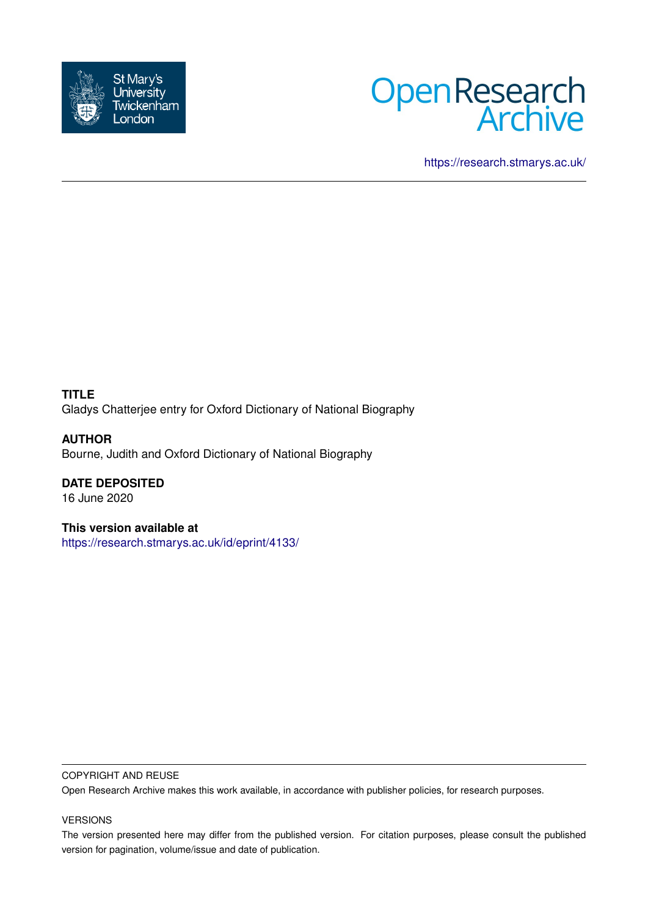



<https://research.stmarys.ac.uk/>

**TITLE** Gladys Chatterjee entry for Oxford Dictionary of National Biography

**AUTHOR** Bourne, Judith and Oxford Dictionary of National Biography

**DATE DEPOSITED** 16 June 2020

**This version available at** <https://research.stmarys.ac.uk/id/eprint/4133/>

## COPYRIGHT AND REUSE

Open Research Archive makes this work available, in accordance with publisher policies, for research purposes.

## VERSIONS

The version presented here may differ from the published version. For citation purposes, please consult the published version for pagination, volume/issue and date of publication.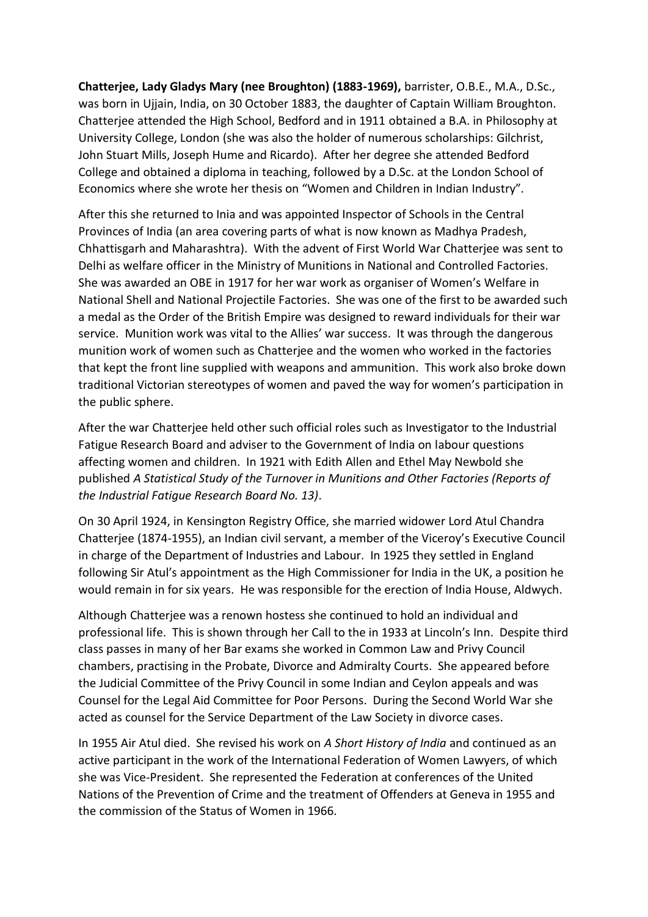**Chatterjee, Lady Gladys Mary (nee Broughton) (1883-1969),** barrister, O.B.E., M.A., D.Sc., was born in Ujjain, India, on 30 October 1883, the daughter of Captain William Broughton. Chatterjee attended the High School, Bedford and in 1911 obtained a B.A. in Philosophy at University College, London (she was also the holder of numerous scholarships: Gilchrist, John Stuart Mills, Joseph Hume and Ricardo). After her degree she attended Bedford College and obtained a diploma in teaching, followed by a D.Sc. at the London School of Economics where she wrote her thesis on "Women and Children in Indian Industry".

After this she returned to Inia and was appointed Inspector of Schools in the Central Provinces of India (an area covering parts of what is now known as Madhya Pradesh, Chhattisgarh and Maharashtra). With the advent of First World War Chatterjee was sent to Delhi as welfare officer in the Ministry of Munitions in National and Controlled Factories. She was awarded an OBE in 1917 for her war work as organiser of Women's Welfare in National Shell and National Projectile Factories. She was one of the first to be awarded such a medal as the Order of the British Empire was designed to reward individuals for their war service. Munition work was vital to the Allies' war success. It was through the dangerous munition work of women such as Chatterjee and the women who worked in the factories that kept the front line supplied with weapons and ammunition. This work also broke down traditional Victorian stereotypes of women and paved the way for women's participation in the public sphere.

After the war Chatterjee held other such official roles such as Investigator to the Industrial Fatigue Research Board and adviser to the Government of India on labour questions affecting women and children. In 1921 with Edith Allen and Ethel May Newbold she published *A Statistical Study of the Turnover in Munitions and Other Factories (Reports of the Industrial Fatigue Research Board No. 13)*.

On 30 April 1924, in Kensington Registry Office, she married widower Lord Atul Chandra Chatterjee (1874-1955), an Indian civil servant, a member of the Viceroy's Executive Council in charge of the Department of Industries and Labour. In 1925 they settled in England following Sir Atul's appointment as the High Commissioner for India in the UK, a position he would remain in for six years. He was responsible for the erection of India House, Aldwych.

Although Chatterjee was a renown hostess she continued to hold an individual and professional life. This is shown through her Call to the in 1933 at Lincoln's Inn. Despite third class passes in many of her Bar exams she worked in Common Law and Privy Council chambers, practising in the Probate, Divorce and Admiralty Courts. She appeared before the Judicial Committee of the Privy Council in some Indian and Ceylon appeals and was Counsel for the Legal Aid Committee for Poor Persons. During the Second World War she acted as counsel for the Service Department of the Law Society in divorce cases.

In 1955 Air Atul died. She revised his work on *A Short History of India* and continued as an active participant in the work of the International Federation of Women Lawyers, of which she was Vice-President. She represented the Federation at conferences of the United Nations of the Prevention of Crime and the treatment of Offenders at Geneva in 1955 and the commission of the Status of Women in 1966.